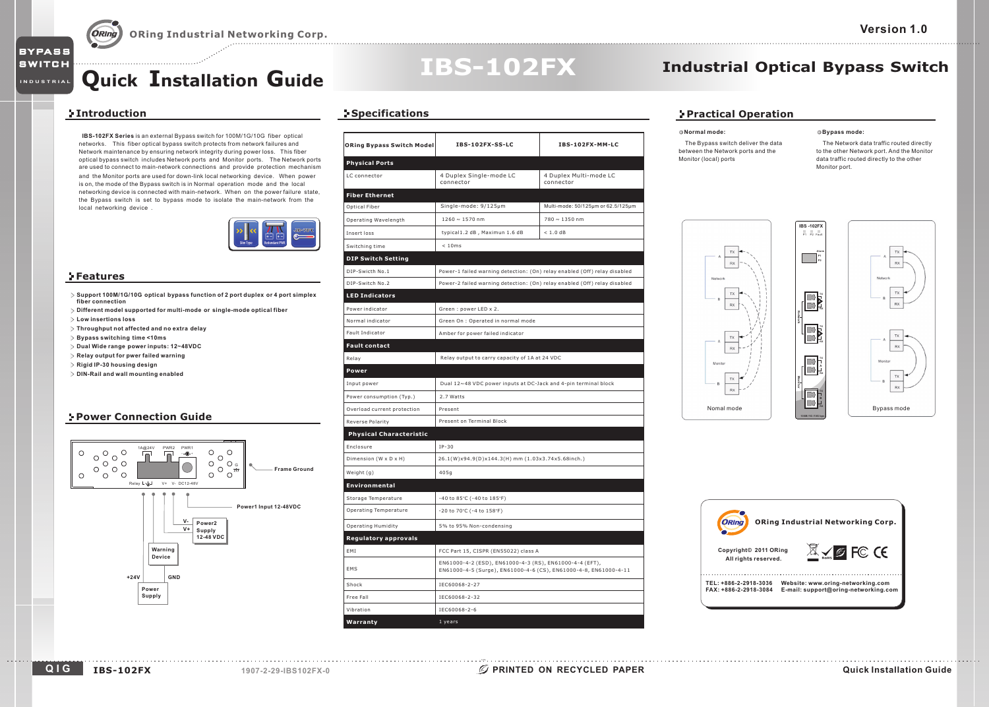## **Quick Installation Guide**

#### **Introduction**

**BYPASS** 

**SWITCH** 

**INDUSTRIAL**

**IBS-102FX Series** is an external Bypass switch for 100M/1G/10G fiber optical networks. This fiber optical bypass switch protects from network failures and Network maintenance by ensuring network integrity during power loss. This fiber optical bypass switch includes Network ports and Monitor ports. The Network ports are used to connect to main-network connections and provide protection mechanism and the Monitor ports are used for down-link local networking device. When power is on, the mode of the Bypass switch is in Normal operation mode and the local networking device is connected with main-network. When on the power failure state, the Bypass switch is set to bypass mode to isolate the main-network from the local networking device .



#### **Features**

- > Support 100M/1G/10G optical bypass function of 2 port duplex or 4 port simplex **fiber connection**
- **Different model supported for multi-mode or single-mode optical fiber**
- **Low insertions loss**
- **Throughput not affected and no extra delay**
- **Bypass switching time <10ms**
- **Dual Wide range power inputs: 12~48VDC**
- **Relay output for pwer failed warning**
- **Rigid IP-30 housing design**
- **DIN-Rail and wall mounting enabled**

#### **Power Connection Guide**



### **Specifications**

| <b>ORing Bypass Switch Model</b> | IBS-102FX-SS-LC                                                                                                             | IBS-102FX-MM-LC                                                           |  |
|----------------------------------|-----------------------------------------------------------------------------------------------------------------------------|---------------------------------------------------------------------------|--|
| <b>Physical Ports</b>            |                                                                                                                             |                                                                           |  |
| LC connector                     | 4 Duplex Single-mode LC<br>connector                                                                                        | 4 Duplex Multi-mode LC<br>connector                                       |  |
| <b>Fiber Ethernet</b>            |                                                                                                                             |                                                                           |  |
| Optical Fiber                    | Single-mode: 9/125µm                                                                                                        | Multi-mode: 50/125µm or 62.5/125µm                                        |  |
| Operating Wavelength             | $1260 \sim 1570$ nm                                                                                                         | 780 ~ 1350 nm                                                             |  |
| Insert loss                      | typical1.2 dB, Maximun 1.6 dB                                                                                               | $< 1.0$ dB                                                                |  |
| Switching time                   | < 10ms                                                                                                                      |                                                                           |  |
| <b>DIP Switch Setting</b>        |                                                                                                                             |                                                                           |  |
| DIP-Swicth No.1                  |                                                                                                                             | Power-1 failed warning detection: (On) relay enabled (Off) relay disabled |  |
| DIP-Switch No.2                  | Power-2 failed warning detection: (On) relay enabled (Off) relay disabled                                                   |                                                                           |  |
| <b>LED Indicators</b>            |                                                                                                                             |                                                                           |  |
| Power indicator                  | Green: power LED x 2.                                                                                                       |                                                                           |  |
| Normal indicator                 | Green On : Operated in normal mode                                                                                          |                                                                           |  |
| Fault Indicator                  | Amber for power failed indicator                                                                                            |                                                                           |  |
| <b>Fault contact</b>             |                                                                                                                             |                                                                           |  |
| Relay                            | Relay output to carry capacity of 1A at 24 VDC                                                                              |                                                                           |  |
| Power                            |                                                                                                                             |                                                                           |  |
| Input power                      | Dual 12~48 VDC power inputs at DC-Jack and 4-pin terminal block                                                             |                                                                           |  |
| Power consumption (Typ.)         | 2.7 Watts                                                                                                                   |                                                                           |  |
| Overload current protection      | Present                                                                                                                     |                                                                           |  |
| Reverse Polarity                 | Present on Terminal Block                                                                                                   |                                                                           |  |
| <b>Physical Characteristic</b>   |                                                                                                                             |                                                                           |  |
| Enclosure                        | $IP-30$                                                                                                                     |                                                                           |  |
| Dimension (W x D x H)            | 26.1(W)x94.9(D)x144.3(H) mm (1.03x3.74x5.68inch.)                                                                           |                                                                           |  |
| Weight (q)                       | 405q                                                                                                                        |                                                                           |  |
| Environmental                    |                                                                                                                             |                                                                           |  |
| Storage Temperature              | -40 to 85°C (-40 to 185°F)                                                                                                  |                                                                           |  |
| Operating Temperature            | -20 to 70°C (-4 to 158°F)                                                                                                   |                                                                           |  |
| <b>Operating Humidity</b>        | 5% to 95% Non-condensing                                                                                                    |                                                                           |  |
| <b>Regulatory approvals</b>      |                                                                                                                             |                                                                           |  |
| EMI                              | FCC Part 15, CISPR (EN55022) class A                                                                                        |                                                                           |  |
| EMS                              | EN61000-4-2 (ESD), EN61000-4-3 (RS), EN61000-4-4 (EFT),<br>EN61000-4-5 (Surge), EN61000-4-6 (CS), EN61000-4-8, EN61000-4-11 |                                                                           |  |
| Shock                            | IEC60068-2-27                                                                                                               |                                                                           |  |
| Free Fall                        | IEC60068-2-32                                                                                                               |                                                                           |  |
| Vibration                        | IEC60068-2-6                                                                                                                |                                                                           |  |
| Warranty                         | 1 years                                                                                                                     |                                                                           |  |

**IBS-102FX**

### **Industrial Optical Bypass Switch**

P1 P2 Fault

**A**

 $\Box$ ES.

b

 $\mathbb{E}$  $\Box$ 

IC) lcɔl **TX**

**B TX**

**A**

**TX**

**TX**

### **Practical Operation**

#### **Normal mode:**

The Bypass switch deliver the data between the Network ports and the Monitor (local) ports

**Bypass mode:**

The Network data traffic routed directly to the other Network port. And the Monitor data traffic routed directly to the other Monitor port.







. . . . . . . . . . .